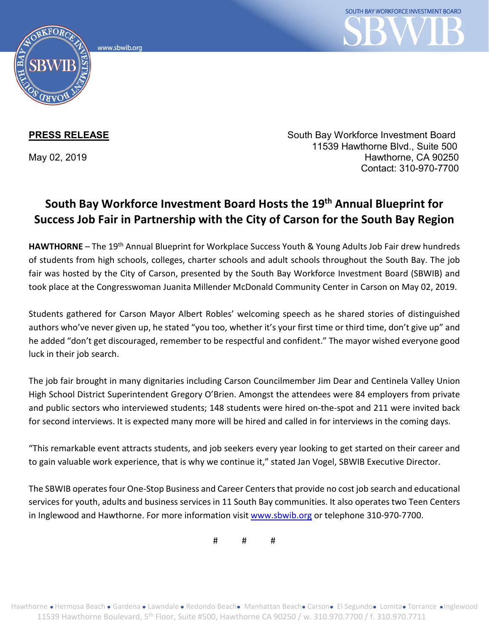www.sbwib.org



**PRESS RELEASE** South Bay Workforce Investment Board 11539 Hawthorne Blvd., Suite 500 May 02, 2019 **Hawthorne**, CA 90250 Contact: 310-970-7700

## **South Bay Workforce Investment Board Hosts the 19th Annual Blueprint for Success Job Fair in Partnership with the City of Carson for the South Bay Region**

**HAWTHORNE** – The 19th Annual Blueprint for Workplace Success Youth & Young Adults Job Fair drew hundreds of students from high schools, colleges, charter schools and adult schools throughout the South Bay. The job fair was hosted by the City of Carson, presented by the South Bay Workforce Investment Board (SBWIB) and took place at the Congresswoman Juanita Millender McDonald Community Center in Carson on May 02, 2019.

Students gathered for Carson Mayor Albert Robles' welcoming speech as he shared stories of distinguished authors who've never given up, he stated "you too, whether it's your first time or third time, don't give up" and he added "don't get discouraged, remember to be respectful and confident." The mayor wished everyone good luck in their job search.

The job fair brought in many dignitaries including Carson Councilmember Jim Dear and Centinela Valley Union High School District Superintendent Gregory O'Brien. Amongst the attendees were 84 employers from private and public sectors who interviewed students; 148 students were hired on-the-spot and 211 were invited back for second interviews. It is expected many more will be hired and called in for interviews in the coming days.

"This remarkable event attracts students, and job seekers every year looking to get started on their career and to gain valuable work experience, that is why we continue it," stated Jan Vogel, SBWIB Executive Director.

The SBWIB operates four One-Stop Business and Career Centers that provide no cost job search and educational services for youth, adults and business services in 11 South Bay communities. It also operates two Teen Centers in Inglewood and Hawthorne. For more information visit [www.sbwib.org](http://www.sbwib.org/) or telephone 310-970-7700.

# # #